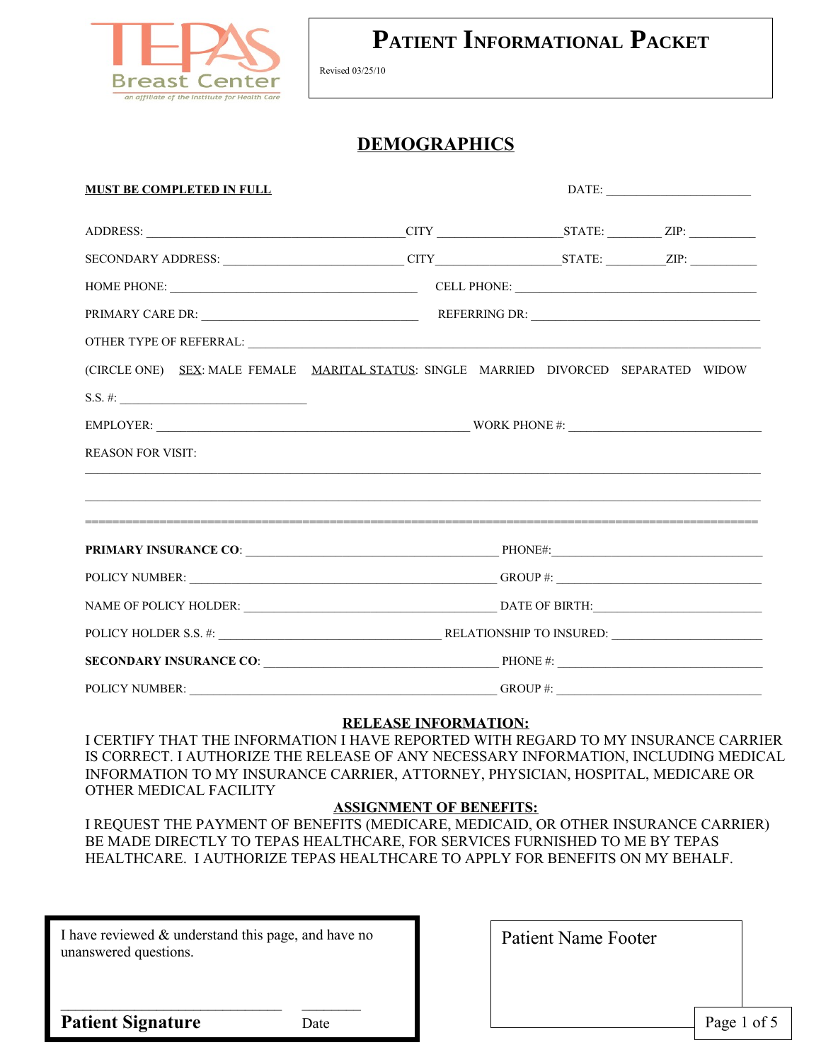

Revised 03/25/10

### **DEMOGRAPHICS**

| <b>MUST BE COMPLETED IN FULL</b>                                                                                      |                                                                                  | DATE:                               |  |  |  |  |
|-----------------------------------------------------------------------------------------------------------------------|----------------------------------------------------------------------------------|-------------------------------------|--|--|--|--|
|                                                                                                                       |                                                                                  |                                     |  |  |  |  |
| SECONDARY ADDRESS: CONDARY ADDRESS: CITY CITY CITY STATE: CITY CITY CITY STATE:                                       |                                                                                  |                                     |  |  |  |  |
|                                                                                                                       |                                                                                  | HOME PHONE: CELL PHONE: CELL PHONE: |  |  |  |  |
|                                                                                                                       |                                                                                  |                                     |  |  |  |  |
| OTHER TYPE OF REFERRAL: $\overline{\phantom{a}}$                                                                      |                                                                                  |                                     |  |  |  |  |
| (CIRCLE ONE) SEX: MALE FEMALE MARITAL STATUS: SINGLE MARRIED DIVORCED SEPARATED WIDOW                                 |                                                                                  |                                     |  |  |  |  |
| $S.S. \#:$                                                                                                            |                                                                                  |                                     |  |  |  |  |
|                                                                                                                       |                                                                                  |                                     |  |  |  |  |
| <b>REASON FOR VISIT:</b>                                                                                              | ,我们也不会有什么。""我们的人,我们也不会有什么?""我们的人,我们也不会有什么?""我们的人,我们也不会有什么?""我们的人,我们也不会有什么?""我们的人 |                                     |  |  |  |  |
| <u> 1999 - Jan Barbara de Santo Antonio de Santo de Santo de Santo de Santo de Santo de Santo de Santo de Santo d</u> |                                                                                  |                                     |  |  |  |  |
|                                                                                                                       |                                                                                  |                                     |  |  |  |  |
|                                                                                                                       | POLICY NUMBER: GROUP #:                                                          |                                     |  |  |  |  |
|                                                                                                                       |                                                                                  |                                     |  |  |  |  |
|                                                                                                                       |                                                                                  |                                     |  |  |  |  |
|                                                                                                                       | SECONDARY INSURANCE CO: PHONE #:                                                 |                                     |  |  |  |  |
| POLICY NUMBER:                                                                                                        | GROUP#:                                                                          |                                     |  |  |  |  |

#### **RELEASE INFORMATION:**

I CERTIFY THAT THE INFORMATION I HAVE REPORTED WITH REGARD TO MY INSURANCE CARRIER IS CORRECT. I AUTHORIZE THE RELEASE OF ANY NECESSARY INFORMATION, INCLUDING MEDICAL INFORMATION TO MY INSURANCE CARRIER, ATTORNEY, PHYSICIAN, HOSPITAL, MEDICARE OR OTHER MEDICAL FACILITY

#### **ASSIGNMENT OF BENEFITS:**

I REQUEST THE PAYMENT OF BENEFITS (MEDICARE, MEDICAID, OR OTHER INSURANCE CARRIER) BE MADE DIRECTLY TO TEPAS HEALTHCARE, FOR SERVICES FURNISHED TO ME BY TEPAS HEALTHCARE. I AUTHORIZE TEPAS HEALTHCARE TO APPLY FOR BENEFITS ON MY BEHALF.

I have reviewed & understand this page, and have no unanswered questions.

 $\mathcal{L}_\text{max}$ 

Patient Name Footer

**Patient Signature** Date

Page 1 of 5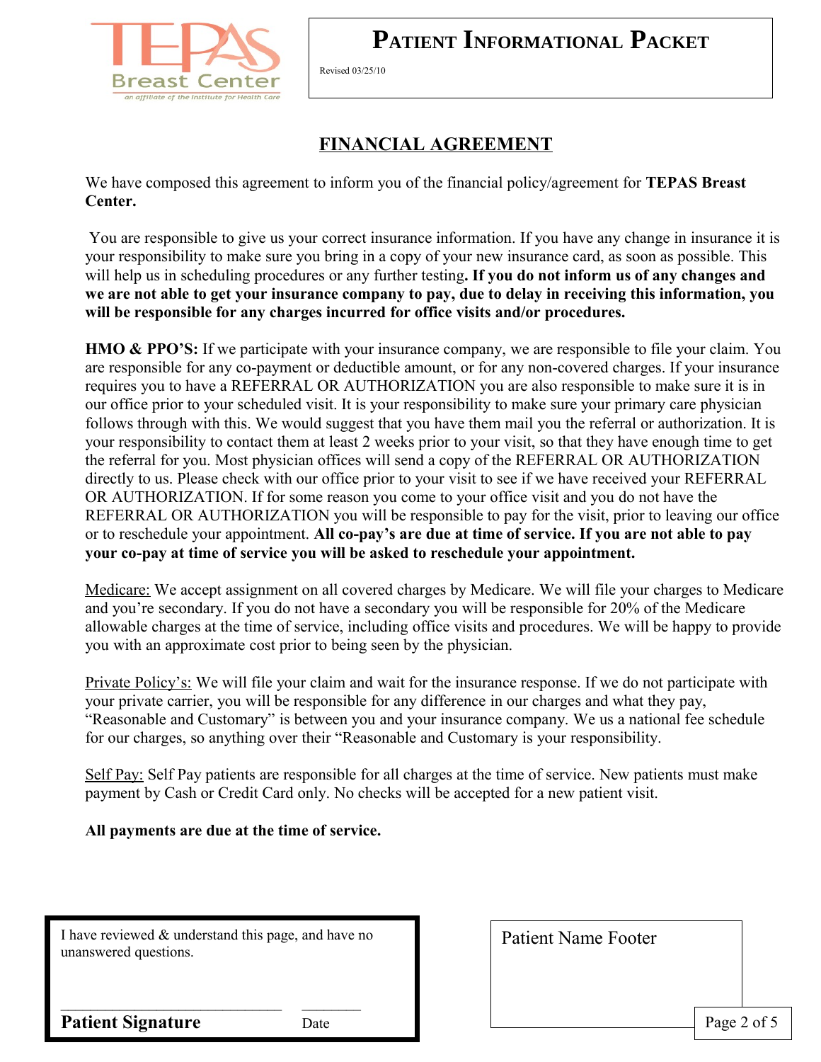

Revised 03/25/10

## **FINANCIAL AGREEMENT**

We have composed this agreement to inform you of the financial policy/agreement for **TEPAS Breast Center.**

 You are responsible to give us your correct insurance information. If you have any change in insurance it is your responsibility to make sure you bring in a copy of your new insurance card, as soon as possible. This will help us in scheduling procedures or any further testing**. If you do not inform us of any changes and we are not able to get your insurance company to pay, due to delay in receiving this information, you will be responsible for any charges incurred for office visits and/or procedures.** 

**HMO & PPO'S:** If we participate with your insurance company, we are responsible to file your claim. You are responsible for any co-payment or deductible amount, or for any non-covered charges. If your insurance requires you to have a REFERRAL OR AUTHORIZATION you are also responsible to make sure it is in our office prior to your scheduled visit. It is your responsibility to make sure your primary care physician follows through with this. We would suggest that you have them mail you the referral or authorization. It is your responsibility to contact them at least 2 weeks prior to your visit, so that they have enough time to get the referral for you. Most physician offices will send a copy of the REFERRAL OR AUTHORIZATION directly to us. Please check with our office prior to your visit to see if we have received your REFERRAL OR AUTHORIZATION. If for some reason you come to your office visit and you do not have the REFERRAL OR AUTHORIZATION you will be responsible to pay for the visit, prior to leaving our office or to reschedule your appointment. **All co-pay's are due at time of service. If you are not able to pay your co-pay at time of service you will be asked to reschedule your appointment.**

Medicare: We accept assignment on all covered charges by Medicare. We will file your charges to Medicare and you're secondary. If you do not have a secondary you will be responsible for 20% of the Medicare allowable charges at the time of service, including office visits and procedures. We will be happy to provide you with an approximate cost prior to being seen by the physician.

Private Policy's: We will file your claim and wait for the insurance response. If we do not participate with your private carrier, you will be responsible for any difference in our charges and what they pay, "Reasonable and Customary" is between you and your insurance company. We us a national fee schedule for our charges, so anything over their "Reasonable and Customary is your responsibility.

Self Pay: Self Pay patients are responsible for all charges at the time of service. New patients must make payment by Cash or Credit Card only. No checks will be accepted for a new patient visit.

#### **All payments are due at the time of service.**

I have reviewed & understand this page, and have no unanswered questions.

 $\mathcal{L}_\text{max}$ 

Patient Name Footer

**Patient Signature** Date

Page 2 of 5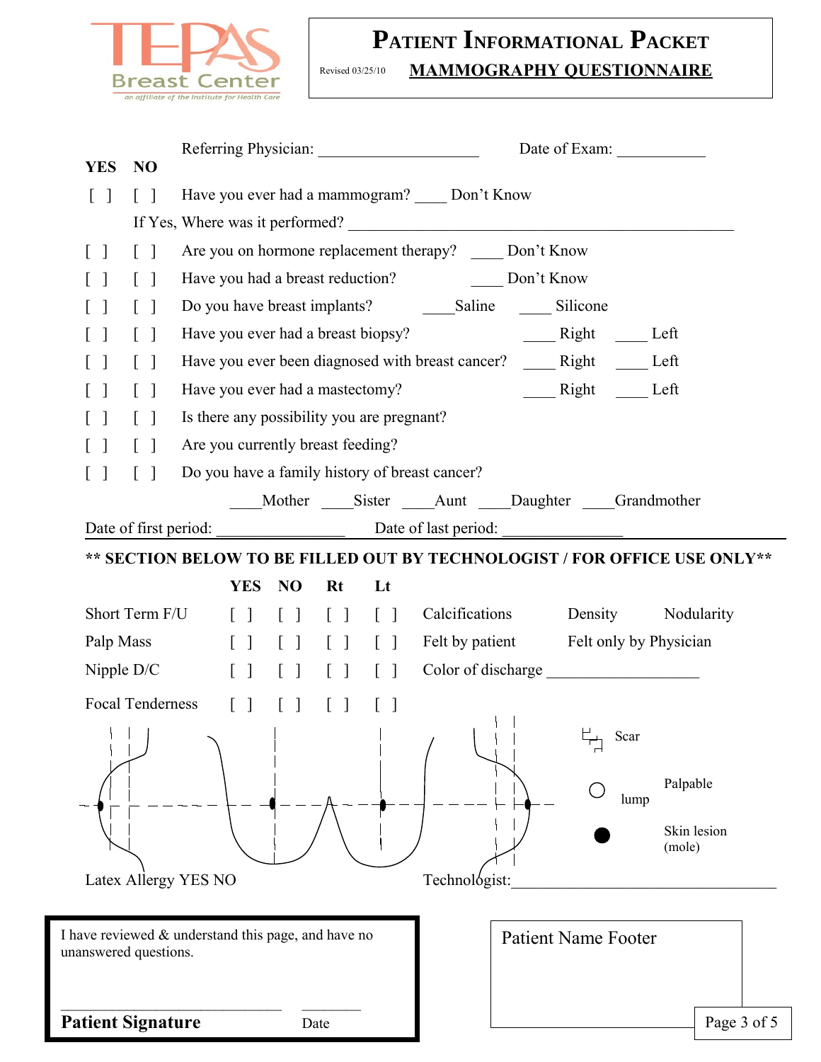

#### **PATIENT INFORMATIONAL PACKET** Revised 03/25/10 **MAMMOGRAPHY QUESTIONNAIRE**

| <b>YES</b><br>N <sub>O</sub>                        | Referring Physician:                                                                                                                                                                                                              |                                                                   |                 |                                                                           |                                    |                       |  |
|-----------------------------------------------------|-----------------------------------------------------------------------------------------------------------------------------------------------------------------------------------------------------------------------------------|-------------------------------------------------------------------|-----------------|---------------------------------------------------------------------------|------------------------------------|-----------------------|--|
| $\lceil$ 1<br>$\lceil \; \rceil$                    | Have you ever had a mammogram? Don't Know                                                                                                                                                                                         |                                                                   |                 |                                                                           |                                    |                       |  |
|                                                     |                                                                                                                                                                                                                                   |                                                                   |                 |                                                                           |                                    |                       |  |
| $\lceil \rceil$<br>$\lceil \; \rceil$               | Are you on hormone replacement therapy? _____ Don't Know                                                                                                                                                                          |                                                                   |                 |                                                                           |                                    |                       |  |
| $\lceil \; \rceil$<br>$\mathbf{L}$                  |                                                                                                                                                                                                                                   |                                                                   |                 |                                                                           |                                    |                       |  |
| $\lceil$ 1<br>$\lceil \rceil$                       |                                                                                                                                                                                                                                   |                                                                   |                 |                                                                           |                                    |                       |  |
| $\lceil \ \rceil$                                   | Have you ever had a breast biopsy?                                                                                                                                                                                                |                                                                   |                 |                                                                           | Right _____ Left                   |                       |  |
|                                                     | Have you ever been diagnosed with breast cancer? ______ Right ______ Left                                                                                                                                                         |                                                                   |                 |                                                                           |                                    |                       |  |
| $\lceil \; \rceil$                                  | Have you ever had a mastectomy?                                                                                                                                                                                                   |                                                                   |                 |                                                                           | $\frac{\text{Right}}{\text{Left}}$ |                       |  |
| $\lceil \; \rceil$                                  | Is there any possibility you are pregnant?                                                                                                                                                                                        |                                                                   |                 |                                                                           |                                    |                       |  |
| $\lceil \rceil$                                     | Are you currently breast feeding?                                                                                                                                                                                                 |                                                                   |                 |                                                                           |                                    |                       |  |
| $\begin{bmatrix} 1 \end{bmatrix}$<br>$\perp$        | Do you have a family history of breast cancer?                                                                                                                                                                                    |                                                                   |                 |                                                                           |                                    |                       |  |
|                                                     |                                                                                                                                                                                                                                   |                                                                   |                 | Mother Sister Aunt Daughter Grandmother                                   |                                    |                       |  |
| Date of first period:                               |                                                                                                                                                                                                                                   |                                                                   |                 | Date of last period:                                                      |                                    |                       |  |
|                                                     |                                                                                                                                                                                                                                   |                                                                   |                 | ** SECTION BELOW TO BE FILLED OUT BY TECHNOLOGIST / FOR OFFICE USE ONLY** |                                    |                       |  |
|                                                     | <b>YES</b>                                                                                                                                                                                                                        | <b>NO</b><br>Rt                                                   | Lt              |                                                                           |                                    |                       |  |
| Short Term F/U                                      | $\Box$                                                                                                                                                                                                                            | $\lceil \rceil$<br>$\lceil \rceil$                                | $\lceil \rceil$ | Calcifications                                                            | Density                            | Nodularity            |  |
| Palp Mass                                           |                                                                                                                                                                                                                                   | [ ] [ ] [ ] [ ] [ ]                                               |                 | Felt by patient Felt only by Physician                                    |                                    |                       |  |
| Nipple $D/C$                                        |                                                                                                                                                                                                                                   | [ ] [ ] [ ] [ ] [ ]                                               |                 | Color of discharge                                                        |                                    |                       |  |
| <b>Focal Tenderness</b>                             |                                                                                                                                                                                                                                   | $\begin{bmatrix} 1 & 1 \\ 1 & 1 \end{bmatrix}$<br>$\lceil \rceil$ |                 |                                                                           |                                    |                       |  |
|                                                     | $\mathbf{1}$ , and a set of the set of the set of the set of the set of the set of the set of the set of the set of the set of the set of the set of the set of the set of the set of the set of the set of the set of the set of |                                                                   |                 |                                                                           | $\overline{\phantom{a}}$ Scar      |                       |  |
|                                                     |                                                                                                                                                                                                                                   |                                                                   |                 |                                                                           |                                    |                       |  |
|                                                     |                                                                                                                                                                                                                                   |                                                                   |                 |                                                                           | lump                               | Palpable              |  |
|                                                     |                                                                                                                                                                                                                                   |                                                                   |                 |                                                                           |                                    |                       |  |
|                                                     |                                                                                                                                                                                                                                   |                                                                   |                 |                                                                           |                                    | Skin lesion<br>(mole) |  |
| Latex Allergy YES NO                                |                                                                                                                                                                                                                                   |                                                                   |                 | Technológist:                                                             |                                    |                       |  |
|                                                     |                                                                                                                                                                                                                                   |                                                                   |                 |                                                                           |                                    |                       |  |
| I have reviewed & understand this page, and have no |                                                                                                                                                                                                                                   |                                                                   |                 | <b>Patient Name Footer</b>                                                |                                    |                       |  |
| unanswered questions.                               |                                                                                                                                                                                                                                   |                                                                   |                 |                                                                           |                                    |                       |  |
|                                                     |                                                                                                                                                                                                                                   |                                                                   |                 |                                                                           |                                    |                       |  |
| <b>Patient Signature</b>                            |                                                                                                                                                                                                                                   | Date                                                              |                 |                                                                           |                                    | Page 3 of 5           |  |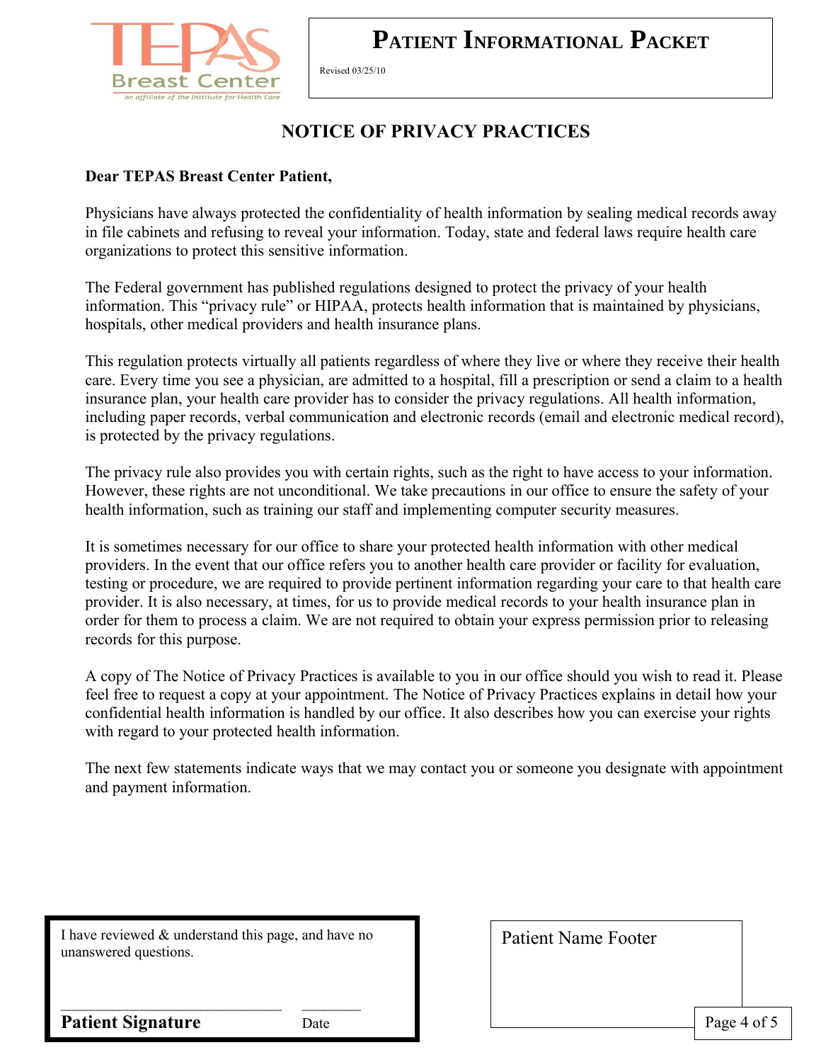

Revised 03/25/10

## **NOTICE OF PRIVACY PRACTICES**

### **Dear TEPAS Breast Center Patient,**

Physicians have always protected the confidentiality of health information by sealing medical records away in file cabinets and refusing to reveal your information. Today, state and federal laws require health care organizations to protect this sensitive information.

The Federal government has published regulations designed to protect the privacy of your health information. This "privacy rule" or HIPAA, protects health information that is maintained by physicians, hospitals, other medical providers and health insurance plans.

This regulation protects virtually all patients regardless of where they live or where they receive their health care. Every time you see a physician, are admitted to a hospital, fill a prescription or send a claim to a health insurance plan, your health care provider has to consider the privacy regulations. All health information, including paper records, verbal communication and electronic records (email and electronic medical record), is protected by the privacy regulations.

The privacy rule also provides you with certain rights, such as the right to have access to your information. However, these rights are not unconditional. We take precautions in our office to ensure the safety of your health information, such as training our staff and implementing computer security measures.

It is sometimes necessary for our office to share your protected health information with other medical providers. In the event that our office refers you to another health care provider or facility for evaluation, testing or procedure, we are required to provide pertinent information regarding your care to that health care provider. It is also necessary, at times, for us to provide medical records to your health insurance plan in order for them to process a claim. We are not required to obtain your express permission prior to releasing records for this purpose.

A copy of The Notice of Privacy Practices is available to you in our office should you wish to read it. Please feel free to request a copy at your appointment. The Notice of Privacy Practices explains in detail how your confidential health information is handled by our office. It also describes how you can exercise your rights with regard to your protected health information.

The next few statements indicate ways that we may contact you or someone you designate with appointment and payment information.

I have reviewed & understand this page, and have no unanswered questions.

 $\mathcal{L}_\text{max}$ 

Patient Name Footer

**Patient Signature** Date

Page 4 of 5